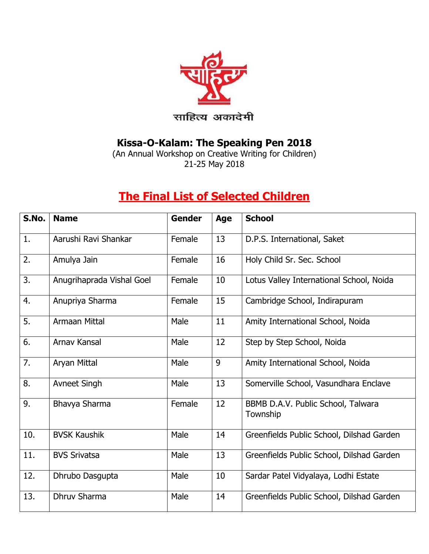

## **Kissa-O-Kalam: The Speaking Pen 2018**

(An Annual Workshop on Creative Writing for Children) 21-25 May 2018

## **The Final List of Selected Children**

| S.No. | <b>Name</b>               | <b>Gender</b> | Age | <b>School</b>                                  |
|-------|---------------------------|---------------|-----|------------------------------------------------|
| 1.    | Aarushi Ravi Shankar      | Female        | 13  | D.P.S. International, Saket                    |
| 2.    | Amulya Jain               | Female        | 16  | Holy Child Sr. Sec. School                     |
| 3.    | Anugrihaprada Vishal Goel | Female        | 10  | Lotus Valley International School, Noida       |
| 4.    | Anupriya Sharma           | Female        | 15  | Cambridge School, Indirapuram                  |
| 5.    | <b>Armaan Mittal</b>      | Male          | 11  | Amity International School, Noida              |
| 6.    | Arnav Kansal              | Male          | 12  | Step by Step School, Noida                     |
| 7.    | Aryan Mittal              | Male          | 9   | Amity International School, Noida              |
| 8.    | Avneet Singh              | Male          | 13  | Somerville School, Vasundhara Enclave          |
| 9.    | Bhavya Sharma             | Female        | 12  | BBMB D.A.V. Public School, Talwara<br>Township |
| 10.   | <b>BVSK Kaushik</b>       | Male          | 14  | Greenfields Public School, Dilshad Garden      |
| 11.   | <b>BVS Srivatsa</b>       | Male          | 13  | Greenfields Public School, Dilshad Garden      |
| 12.   | Dhrubo Dasgupta           | Male          | 10  | Sardar Patel Vidyalaya, Lodhi Estate           |
| 13.   | Dhruv Sharma              | Male          | 14  | Greenfields Public School, Dilshad Garden      |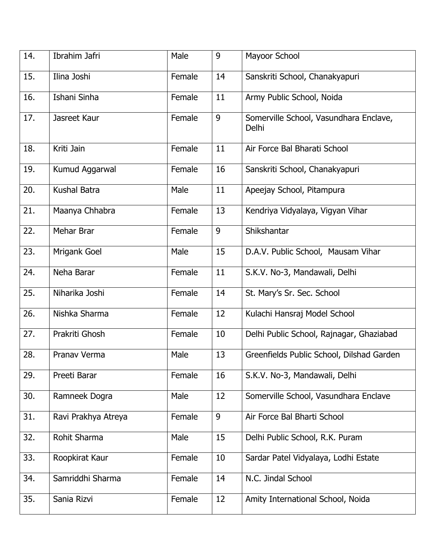| 14. | Ibrahim Jafri       | Male   | 9  | Mayoor School                                   |
|-----|---------------------|--------|----|-------------------------------------------------|
| 15. | Ilina Joshi         | Female | 14 | Sanskriti School, Chanakyapuri                  |
| 16. | Ishani Sinha        | Female | 11 | Army Public School, Noida                       |
| 17. | Jasreet Kaur        | Female | 9  | Somerville School, Vasundhara Enclave,<br>Delhi |
| 18. | Kriti Jain          | Female | 11 | Air Force Bal Bharati School                    |
| 19. | Kumud Aggarwal      | Female | 16 | Sanskriti School, Chanakyapuri                  |
| 20. | <b>Kushal Batra</b> | Male   | 11 | Apeejay School, Pitampura                       |
| 21. | Maanya Chhabra      | Female | 13 | Kendriya Vidyalaya, Vigyan Vihar                |
| 22. | Mehar Brar          | Female | 9  | Shikshantar                                     |
| 23. | Mrigank Goel        | Male   | 15 | D.A.V. Public School, Mausam Vihar              |
| 24. | Neha Barar          | Female | 11 | S.K.V. No-3, Mandawali, Delhi                   |
| 25. | Niharika Joshi      | Female | 14 | St. Mary's Sr. Sec. School                      |
| 26. | Nishka Sharma       | Female | 12 | Kulachi Hansraj Model School                    |
| 27. | Prakriti Ghosh      | Female | 10 | Delhi Public School, Rajnagar, Ghaziabad        |
| 28. | Pranav Verma        | Male   | 13 | Greenfields Public School, Dilshad Garden       |
| 29. | Preeti Barar        | Female | 16 | S.K.V. No-3, Mandawali, Delhi                   |
| 30. | Ramneek Dogra       | Male   | 12 | Somerville School, Vasundhara Enclave           |
| 31. | Ravi Prakhya Atreya | Female | 9  | Air Force Bal Bharti School                     |
| 32. | Rohit Sharma        | Male   | 15 | Delhi Public School, R.K. Puram                 |
| 33. | Roopkirat Kaur      | Female | 10 | Sardar Patel Vidyalaya, Lodhi Estate            |
| 34. | Samriddhi Sharma    | Female | 14 | N.C. Jindal School                              |
| 35. | Sania Rizvi         | Female | 12 | Amity International School, Noida               |